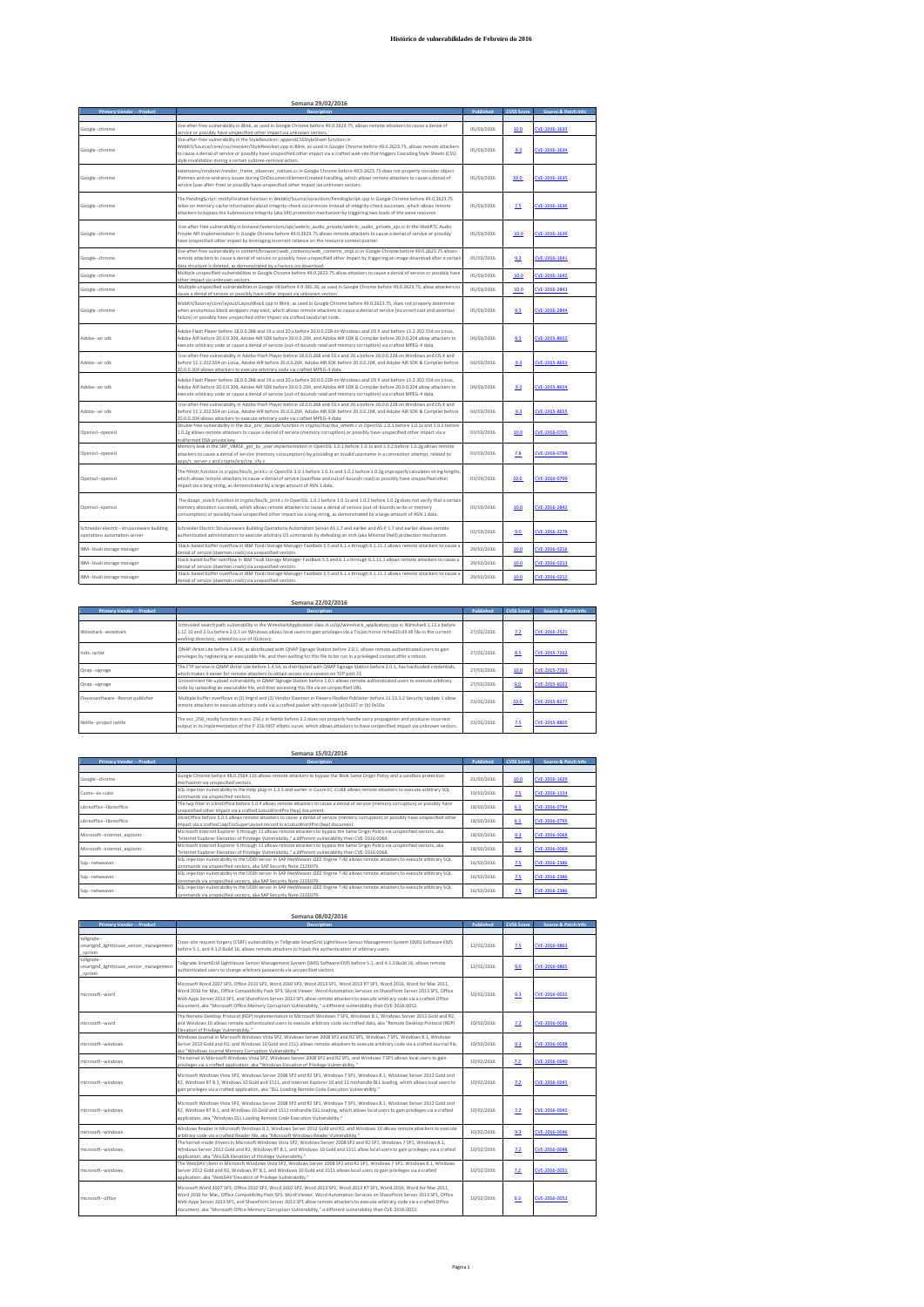## **Histórico de vulnerabilidades de Febreiro do 2016**

| Semana 29/02/2016                                                           |                                                                                                                                                                                                                                                                                                                                                                                                                                    |            |                   |                     |  |  |
|-----------------------------------------------------------------------------|------------------------------------------------------------------------------------------------------------------------------------------------------------------------------------------------------------------------------------------------------------------------------------------------------------------------------------------------------------------------------------------------------------------------------------|------------|-------------------|---------------------|--|--|
| <b>Primary Vendor -- Product</b>                                            | Description                                                                                                                                                                                                                                                                                                                                                                                                                        | Published  | <b>CVSS Score</b> | Source & Patch Info |  |  |
| Google--chrome                                                              | Use-after-free vulnerability in Blink, as used in Google Chrome before 49.0.2623.75, allows remote attackers to cause a denial of<br>ervice or possibly have unspecified other impact via unknown vectors.                                                                                                                                                                                                                         | 05/03/2016 | 10.0              | CVE-2016-1633       |  |  |
| Google--chrome                                                              | Use-after-free vulnerability in the StyleResolver::appendCSSStyleSheet function in<br>WebKit/Source/core/css/resolver/StyleResolver.cpp in Blink, as used in Google Chrome before 49.0.2623.75, allows remote attackers<br>to cause a denial of service or possibly have unspecified other impact via a crafted web site that triggers Cascading Style Sheets (CSS)<br>style invalidation during a certain subtree-removal action. | 05/03/2016 | 9.3               | CVE-2016-1634       |  |  |
| Google--chrome                                                              | extensions/renderer/render_frame_observer_natives.cc in Google Chrome before 49.0.2623.75 does not properly consider object<br>lifetimes and re-entrancy issues during OnDocumentElementCreated handling, which allows remote attackers to cause a denial of<br>service (use-after-free) or possibly have unspecified other impact via unknown vectors.                                                                            | 05/03/2016 | 10.0              | CVE-2016-1635       |  |  |
| Google--chrome                                                              | The PendingScript::notifyFinished function in WebKit/Source/core/dom/PendingScript.cpp in Google Chrome before 49.0.2623.75<br>relies on memory-cache information about integrity-check occurrences instead of integrity-check successes, which allows remote<br>attackers to bypass the Subresource Integrity (aka SRI) protection mechanism by triggering two loads of the same resource.                                        | 05/03/2016 | 2.5               | EVE-2016-1636       |  |  |
| Google--chrome                                                              | Use-after-free vulnerability in browser/extensions/api/webrtc_audio_private/webrtc_audio_private_api.cc in the WebRTC Audio<br>Private API implementation in Google Chrome before 49.0.2623.75 allows remote attackers to cause a denial of service or possibly<br>have unspecified other impact by leveraging incorrect reliance on the resource context pointer.                                                                 | 05/03/2016 | 10.0              | CVE-2016-1639       |  |  |
| Google--chrome                                                              | Use-after-free vulnerability in content/browser/web contents/web contents impl.cc in Google Chrome before 49.0.2623.75 allows<br>remote attackers to cause a denial of service or possibly have unspecified other impact by triggering an image download after a certain<br>data structure is deleted, as demonstrated by a favicon.ico download.                                                                                  | 05/03/2016 | 9.3               | CVE-2016-1641       |  |  |
| Google--chrome                                                              | Multiple unspecified vulnerabilities in Google Chrome before 49.0.2623.75 allow attackers to cause a denial of service or possibly have<br>other impact via unknown vectors                                                                                                                                                                                                                                                        | 05/03/2016 | 10.0              | CVE-2016-1642       |  |  |
| Google--chrome                                                              | Multiple unspecified vulnerabilities in Google V8 before 4.9.385.26, as used in Google Chrome before 49.0.2623.75, allow attackers to<br>ause a denial of service or possibly have other impact via unknown vectors                                                                                                                                                                                                                | 05/03/2016 | 10.0              | CVE-2016-2843       |  |  |
| Google--chrome                                                              | WebKit/Source/core/layout/LayoutBlock.cpp in Blink, as used in Google Chrome before 49.0.2623.75, does not properly determine<br>when anonymous block wrappers may exist, which allows remote attackers to cause a denial of service (incorrect cast and assertion<br>failure) or possibly have unspecified other impact via crafted JavaScript code.                                                                              | 05/03/2016 | 9.3               | CVE-2016-2844       |  |  |
| Adobe--air sdk                                                              | Adobe Flash Player before 18.0.0.268 and 19.x and 20.x before 20.0.0.228 on Windows and OS X and before 11.2.202.554 on Linux,<br>Adobe AIR before 20.0.0.204, Adobe AIR SDK before 20.0.0.204, and Adobe AIR SDK & Compiler before 20.0.0.204 allow attackers to<br>execute arbitrary code or cause a denial of service (out-of-bounds read and memory corruption) via crafted MPEG-4 data.                                       | 04/03/2016 | 9.3               | CVE-2015-8652       |  |  |
| Adobe-air sdk                                                               | Use-after-free vulnerability in Adobe Flash Player before 18.0.0.268 and 19.x and 20.x before 20.0.0.228 on Windows and OS X and<br>before 11.2.202.554 on Linux, Adobe AIR before 20.0.0.204, Adobe AIR SDK before 20.0.0.204, and Adobe AIR SDK & Compiler before<br>20.0.0.204 allows attackers to execute arbitrary code via crafted MPEG-4 data                                                                               | 04/03/2016 | 9.3               | CVE-2015-8653       |  |  |
| Adobe--air sdk                                                              | Adobe Flash Player before 18.0.0.268 and 19.x and 20.x before 20.0.0.228 on Windows and OS X and before 11.2.202.554 on Linux,<br>Adobe AIR before 20.0.0.204, Adobe AIR SDK before 20.0.0.204, and Adobe AIR SDK & Compiler before 20.0.0.204 allow attackers to<br>execute arbitrary code or cause a denial of service (out-of-bounds read and memory corruption) via crafted MPEG-4 data.                                       | 04/03/2016 | 9.3               | CVE-2015-8654       |  |  |
| Adobe--air sdk                                                              | Use-after-free vulnerability in Adobe Flash Player before 18.0.0.268 and 19.x and 20.x before 20.0.0.228 on Windows and OS X and<br>before 11.2.202.554 on Linux, Adobe AIR before 20.0.0.204, Adobe AIR SDK before 20.0.0.204, and Adobe AIR SDK & Compiler before<br>20.0.0.204 allows attackers to execute arbitrary code via crafted MPEG-4 data                                                                               | 04/03/2016 | 9.3               | CVE-2015-8655       |  |  |
| Openssl--openssl                                                            | Double free vulnerability in the dsa priv decode function in crypto/dsa/dsa ameth.c in OpenSSL 1.0.1 before 1.0.1s and 1.0.2 before<br>1.0.2g allows remote attackers to cause a denial of service (memory corruption) or possibly have unspecified other impact via a<br>malformed DSA private key.                                                                                                                               | 03/03/2016 | 10.0              | CVE-2016-0705       |  |  |
| Openssl--openssl                                                            | Memory leak in the SRP VBASE get by user implementation in OpenSSL 1.0.1 before 1.0.1s and 1.0.2 before 1.0.2g allows remote<br>attackers to cause a denial of service (memory consumption) by providing an invalid username in a connection attempt, related to<br>apps/s_server.c and crypto/srp/srp_vfv.c                                                                                                                       | 03/03/2016 | 2.8               | CVE-2016-0798       |  |  |
| Openssl--openssl                                                            | The fmtstr function in crypto/bio/b print.c in OpenSSL 1.0.1 before 1.0.1s and 1.0.2 before 1.0.2g improperly calculates string lengths,<br>which allows remote attackers to cause a denial of service (overflow and out-of-bounds read) or possibly have unspecified other<br>impact via a long string, as demonstrated by a large amount of ASN.1 data.                                                                          | 03/03/2016 | 10.0              | CVE-2016-0799       |  |  |
| Openssl--openssl                                                            | The doapr outch function in crypto/bio/b print.c in OpenSSL 1.0.1 before 1.0.1s and 1.0.2 before 1.0.2g does not verify that a certain<br>memory allocation succeeds, which allows remote attackers to cause a denial of service (out-of-bounds write or memory<br>consumption) or possibly have unspecified other impact via a long string, as demonstrated by a large amount of ASN.1 data.                                      | 03/03/2016 | 10.0              | CVE-2016-2842       |  |  |
| Schneider electric -- struxureware building<br>operations automation server | Schneider Electric Struxureware Building Operations Automation Server AS 1.7 and earlier and AS-P 1.7 and earlier allows remote<br>authenticated administrators to execute arbitrary OS commands by defeating an msh (aka Minimal Shell) protection mechanism.                                                                                                                                                                     | 02/03/2016 | 9.0.              | CVE-2016-2278       |  |  |
| IBM--tivoli storage manager                                                 | Stack-based buffer overflow in IBM Tivoli Storage Manager FastBack 5.5 and 6.1.x through 6.1.11.1 allows remote attackers to cause a<br>denial of service (daemon crash) via unspecified vectors.                                                                                                                                                                                                                                  | 29/02/2016 | 10.0              | CVE-2016-0216       |  |  |
| IBM--tivoli storage manager                                                 | Stack-based buffer overflow in IBM Tivoli Storage Manager FastBack 5.5 and 6.1.x through 6.1.11.1 allows remote attackers to cause a<br>denial of service (daemon crash) via unspecified vectors                                                                                                                                                                                                                                   | 29/02/2016 | 10.0              | CVE-2016-0213       |  |  |
| IBM--tivoli storage manager                                                 | Stack-based buffer overflow in IBM Tivoli Storage Manager FastBack 5.5 and 6.1.x through 6.1.11.1 allows remote attackers to cause a<br>denial of service (daemon crash) via unspecified vectors.                                                                                                                                                                                                                                  | 29/02/2016 | 10.0              | CVE-2016-0212       |  |  |

| Semana 22/02/2016                  |                                                                                                                                                                                                                                                                                                                                   |            |                   |                     |
|------------------------------------|-----------------------------------------------------------------------------------------------------------------------------------------------------------------------------------------------------------------------------------------------------------------------------------------------------------------------------------|------------|-------------------|---------------------|
| <b>Primary Vendor -- Product</b>   | <b>Description</b>                                                                                                                                                                                                                                                                                                                | Published  | <b>CVSS Score</b> | Source & Patch Info |
|                                    |                                                                                                                                                                                                                                                                                                                                   |            |                   |                     |
| Wireshark--wireshark               | Untrusted search path vulnerability in the WiresharkApplication class in ui/qt/wireshark application.cpp in Wireshark 1.12.x before<br>1.12.10 and 2.0.x before 2.0.2 on Windows allows local users to gain privileges via a Troian horse riched 20.dll.dll file in the current<br>working directory, related to use of OLibrary. | 27/02/2016 | 7.2               | CVE-2016-2521       |
| Inds--jartist                      | QNAP iArtist Lite before 1.4.54, as distributed with QNAP Signage Station before 2.0.1, allows remote authenticated users to gain<br>privileges by registering an executable file, and then waiting for this file to be run in a privileged context after a reboot.                                                               | 27/02/2016 | 8.5               | CVE-2015-7262       |
| Qnap--signage                      | The FTP service in QNAP iArtist Lite before 1.4.54, as distributed with QNAP Signage Station before 2.0.1, has hardcoded credentials,<br>which makes it easier for remote attackers to obtain access via a session on TCP port 21.                                                                                                | 27/02/2016 | 10.0              | CVE-2015-7261       |
| Qnap--signage                      | Unrestricted file upload vulnerability in QNAP Signage Station before 2.0.1 allows remote authenticated users to execute arbitrary<br>code by uploading an executable file, and then accessing this file via an unspecified URL.                                                                                                  | 27/02/2016 | 9.0               | CVE-2015-6022       |
| Flexerasoftware--flexnet publisher | Multiple buffer overflows in (1) Imgrd and (2) Vendor Daemon in Flexera FlexNet Publisher before 11.13.1.2 Security Update 1 allow<br>remote attackers to execute arbitrary code via a crafted packet with opcode (a) 0x107 or (b) 0x10a.                                                                                         | 23/02/2016 | 10.0              | CVE-2015-8277       |
| Nettle--project nettle             | The ecc 256 modg function in ecc-256.c in Nettle before 3.2 does not properly handle carry propagation and produces incorrect<br>output in its implementation of the P-256 NIST elliptic curve, which allows attackers to have unspecified impact via unknown vectors.                                                            | 23/02/2016 | 2.5               | CVE-2015-8805       |

| Semana 15/02/2016                |                                                                                                                                                                                                                                           |            |                   |                     |
|----------------------------------|-------------------------------------------------------------------------------------------------------------------------------------------------------------------------------------------------------------------------------------------|------------|-------------------|---------------------|
| <b>Primary Vendor -- Product</b> | <b>Description</b>                                                                                                                                                                                                                        | Published  | <b>CVSS Score</b> | Source & Patch Info |
|                                  |                                                                                                                                                                                                                                           |            |                   |                     |
| Google--chrome                   | Google Chrome before 48.0.2564.116 allows remote attackers to bypass the Blink Same Origin Policy and a sandbox protection<br>mechanism via unspecified vectors.                                                                          | 21/02/2016 | 10.0              | CVE-2016-1629       |
| Cuone-ec-cube                    | SQL injection vulnerability in the Help plug-in 1.3.5 and earlier in Cuore EC-CUBE allows remote attackers to execute arbitrary SQL<br>commands via unspecified vectors.                                                                  | 19/02/2016 | 7.5               | CVE-2016-1154       |
| Libreoffice-libreoffice          | The lwp filter in LibreOffice before 5.0.4 allows remote attackers to cause a denial of service (memory corruption) or possibly have<br>unspecified other impact via a crafted LotusWordPro (Iwp) document.                               | 18/02/2016 | 9.3               | CVE-2016-0794       |
| Libreoffice-libreoffice          | LibreOffice before 5.0.5 allows remote attackers to cause a denial of service (memory corruption) or possibly have unspecified other<br>impact via a crafted LwpTocSuperLayout record in a LotusWordPro (Iwp) document.                   | 18/02/2016 | 9.3               | CVE-2016-0795       |
| Microsoft--internet explorer     | Microsoft Internet Explorer 9 through 11 allows remote attackers to bypass the Same Origin Policy via unspecified vectors, aka<br>"Internet Explorer Elevation of Privilege Vulnerability." a different vulnerability than CVE-2016-0069. | 18/02/2016 | 9.3               | CVE-2016-0068       |
| Microsoft--internet explorer     | Microsoft Internet Explorer 9 through 11 allows remote attackers to bypass the Same Origin Policy via unspecified vectors, aka<br>"Internet Explorer Elevation of Privilege Vulnerability." a different vulnerability than CVE-2016-0068. | 18/02/2016 | 9.3               | CVE-2016-0069       |
| Sap--netweaver                   | SQL injection vulnerability in the UDDI server in SAP NetWeaver J2EE Engine 7.40 allows remote attackers to execute arbitrary SQL<br>commands via unspecified vectors, aka SAP Security Note 2101079.                                     | 16/02/2016 | 2.5               | CVE-2016-2386       |
| Sap--netweaver                   | SQL injection vulnerability in the UDDI server in SAP NetWeaver J2EE Engine 7.40 allows remote attackers to execute arbitrary SQL<br>commands via unspecified vectors, aka SAP Security Note 2101079.                                     | 16/02/2016 | 7.5               | CVE-2016-2386       |
| Sap--netweaver                   | SQL injection vulnerability in the UDDI server in SAP NetWeaver J2EE Engine 7.40 allows remote attackers to execute arbitrary SQL<br>commands via unspecified vectors, aka SAP Security Note 2101079.                                     | 16/02/2016 | 2.5               | CVE-2016-2386       |

| Semana 08/02/2016                                               |                                                                                                                                                                                                                                                                                                                                                                                                                                                                                                               |            |                   |                     |
|-----------------------------------------------------------------|---------------------------------------------------------------------------------------------------------------------------------------------------------------------------------------------------------------------------------------------------------------------------------------------------------------------------------------------------------------------------------------------------------------------------------------------------------------------------------------------------------------|------------|-------------------|---------------------|
| <b>Primary Vendor -- Product</b>                                | <b>Description</b>                                                                                                                                                                                                                                                                                                                                                                                                                                                                                            | Published  | <b>CVSS Score</b> | Source & Patch Info |
| tollgrade--<br>smartgrid lighthouse sensor management<br>system | Cross-site request forgery (CSRF) vulnerability in Tollgrade SmartGrid LightHouse Sensor Management System (SMS) Software EMS<br>before 5.1, and 4.1.0 Build 16, allows remote attackers to hijack the authentication of arbitrary users.                                                                                                                                                                                                                                                                     | 12/02/2016 | 2.5               | CVE-2016-0863       |
| tollgrade--<br>smartgrid lighthouse sensor management<br>system | Tollgrade SmartGrid LightHouse Sensor Management System (SMS) Software EMS before 5.1, and 4.1.0 Build 16, allows remote<br>authenticated users to change arbitrary passwords via unspecified vectors.                                                                                                                                                                                                                                                                                                        | 12/02/2016 | 9.0               | CVE-2016-0865       |
| microsoft--word                                                 | Microsoft Word 2007 SP3. Office 2010 SP2. Word 2010 SP2. Word 2013 SP1. Word 2013 RT SP1. Word 2016. Word for Mac 2011.<br>Word 2016 for Mac, Office Compatibility Pack SP3, Word Viewer, Word Automation Services on SharePoint Server 2013 SP1, Office<br>Web Apps Server 2013 SP1, and SharePoint Server 2013 SP1 allow remote attackers to execute arbitrary code via a crafted Office<br>document, aka "Microsoft Office Memory Corruption Vulnerability," a different vulnerability than CVE-2016-0052. | 10/02/2016 | 9.3               | CVE-2016-0022       |
| microsoft--word                                                 | The Remote Desktop Protocol (RDP) implementation in Microsoft Windows 7 SP1. Windows 8.1. Windows Server 2012 Gold and R2.<br>and Windows 10 allows remote authenticated users to execute arbitrary code via crafted data, aka "Remote Desktop Protocol (RDP)<br>Elevation of Privilege Vulnerability."                                                                                                                                                                                                       | 10/02/2016 | 7.2               | CVE-2016-0036       |
| microsoft--windows                                              | Windows Journal in Microsoft Windows Vista SP2. Windows Server 2008 SP2 and R2 SP1. Windows 7 SP1. Windows 8.1. Windows<br>Server 2012 Gold and R2, and Windows 10 Gold and 1511 allows remote attackers to execute arbitrary code via a crafted Journal file,<br>aka "Windows Journal Memory Corruption Vulnerability."                                                                                                                                                                                      | 10/02/2016 | 9.3               | CVE-2016-0038       |
| microsoft--windows                                              | The kernel in Microsoft Windows Vista SP2, Windows Server 2008 SP2 and R2 SP1, and Windows 7 SP1 allows local users to gain<br>privileges via a crafted application, aka "Windows Elevation of Privilege Vulnerability."                                                                                                                                                                                                                                                                                      | 10/02/2016 | 7.2               | CVE-2016-0040       |
| microsoft -- windows                                            | Microsoft Windows Vista SP2, Windows Server 2008 SP2 and R2 SP1, Windows 7 SP1, Windows 8.1, Windows Server 2012 Gold and<br>R2. Windows RT 8.1. Windows 10 Gold and 1511, and Internet Explorer 10 and 11 mishandle DLL loading, which allows local users to<br>gain privileges via a crafted application, aka "DLL Loading Remote Code Execution Vulnerability."                                                                                                                                            | 10/02/2016 | 7.2               | CVE-2016-0041       |
| microsoft--windows                                              | Microsoft Windows Vista SP2. Windows Server 2008 SP2 and R2 SP1. Windows 7 SP1. Windows 8.1. Windows Server 2012 Gold and<br>R2, Windows RT 8.1, and Windows 10 Gold and 1511 mishandle DLL loading, which allows local users to gain privileges via a crafted<br>application, aka "Windows DLL Loading Remote Code Execution Vulnerability."                                                                                                                                                                 | 10/02/2016 | 7.2               | CVE-2016-0042       |
| microsoft--windows                                              | Windows Reader in Microsoft Windows 8.1. Windows Server 2012 Gold and R2, and Windows 10 allows remote attackers to execute<br>arbitrary code via a crafted Reader file, aka "Microsoft Windows Reader Vulnerability."                                                                                                                                                                                                                                                                                        | 10/02/2016 | 9.3               | CVE-2016-0046       |
| microsoft -- windows                                            | The kernel-mode drivers in Microsoft Windows Vista SP2. Windows Server 2008 SP2 and R2 SP1. Windows 7 SP1. Windows 8.1.<br>Windows Server 2012 Gold and R2. Windows RT 8.1, and Windows 10 Gold and 1511 allow local users to gain privileges via a crafted<br>application, aka "Win32k Elevation of Privilege Vulnerability."                                                                                                                                                                                | 10/02/2016 | 7.2               | CVE-2016-0048       |
| microsoft -- windows                                            | The WebDAV client in Microsoft Windows Vista SP2, Windows Server 2008 SP2 and R2 SP1, Windows 7 SP1, Windows 8.1, Windows<br>Server 2012 Gold and R2, Windows RT 8.1, and Windows 10 Gold and 1511 allows local users to gain privileges via a crafted<br>application, aka "WebDAV Elevation of Privilege Vulnerability."                                                                                                                                                                                     | 10/02/2016 | 7.2               | CVE-2016-0051       |
| microsoft--office                                               | Microsoft Word 2007 SP3. Office 2010 SP2. Word 2010 SP2. Word 2013 SP1. Word 2013 RT SP1. Word 2016. Word for Mac 2011.<br>Word 2016 for Mac, Office Compatibility Pack SP3, Word Viewer, Word Automation Services on SharePoint Server 2013 SP1, Office<br>Web Apps Server 2013 SP1, and SharePoint Server 2013 SP1 allow remote attackers to execute arbitrary code via a crafted Office<br>document, aka "Microsoft Office Memory Corruption Vulnerability," a different vulnerability than CVE-2016-0022. | 10/02/2016 | 9.3               | CVE-2016-0052       |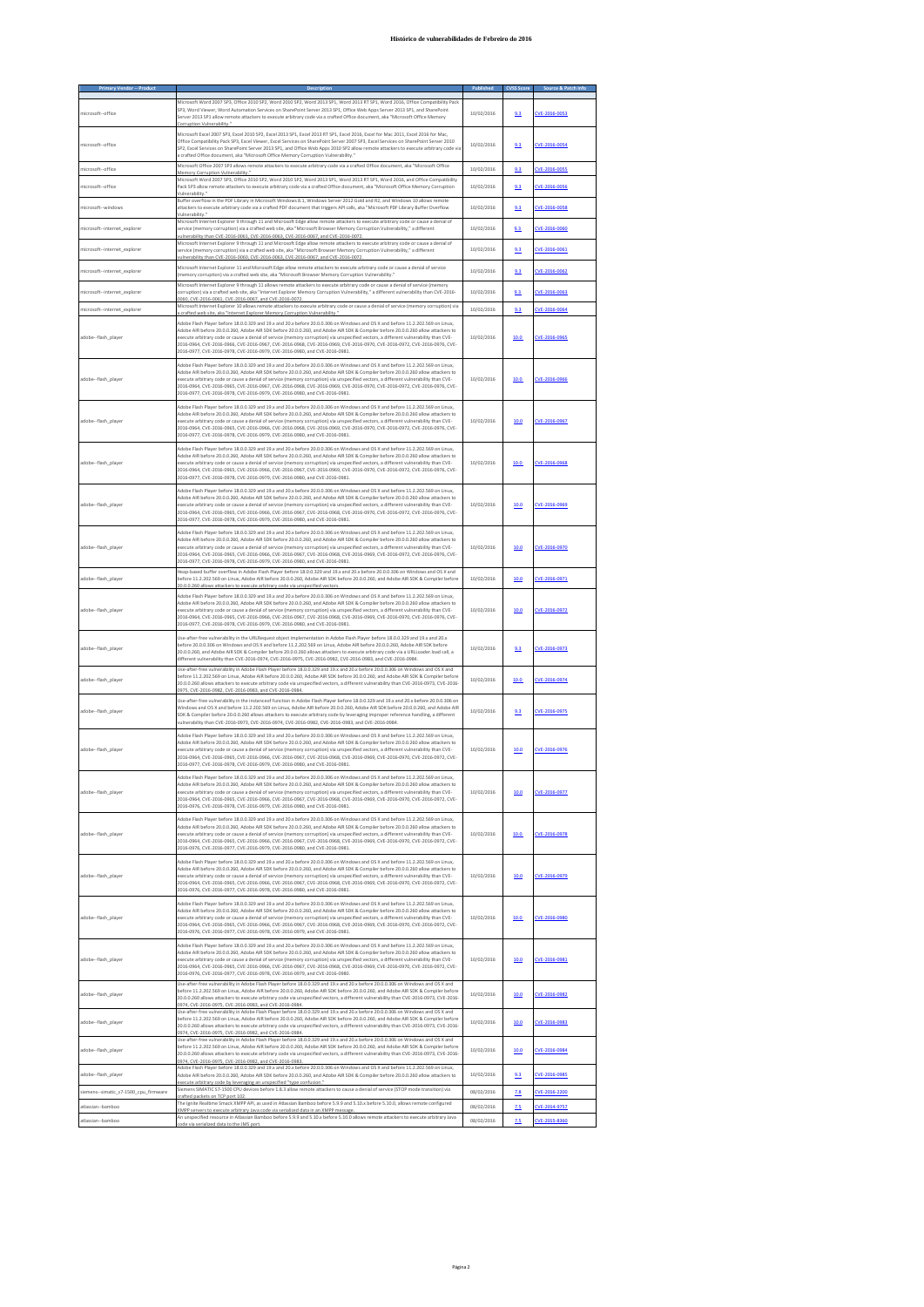## **Histórico de vulnerabilidades de Febreiro do 2016**

| microsoft--office                     | Microsoft Word 2007 SP3. Office 2010 SP2. Word 2010 SP2. Word 2013 SP1. Word 2013 RT SP1. Word 2016. Office Compatibility Pack<br>SP3, Word Viewer, Word Automation Services on SharePoint Server 2013 SP1, Office Web Apps Server 2013 SP1, and SharePoint                                                                                                                                                                                                                                                                                                                                                         | 10/02/2016               | 9.3        | CVE-2016-0053                  |
|---------------------------------------|---------------------------------------------------------------------------------------------------------------------------------------------------------------------------------------------------------------------------------------------------------------------------------------------------------------------------------------------------------------------------------------------------------------------------------------------------------------------------------------------------------------------------------------------------------------------------------------------------------------------|--------------------------|------------|--------------------------------|
|                                       | Server 2013 SP1 allow remote attackers to execute arbitrary code via a crafted Office document, aka "Microsoft Office Memory<br>n Vulnerability<br>Microsoft Excel 2007 SP3, Excel 2010 SP2, Excel 2013 SP1, Excel 2013 RT SP1, Excel 2016, Excel for Mac 2011, Excel 2016 for Mac,<br>Office Compatibility Pack SP3, Excel Viewer, Excel Services on SharePoint Server 2007 SP3, Excel Services on SharePoint Server 2010                                                                                                                                                                                          |                          |            |                                |
| microsoft--office                     | SP2, Excel Services on SharePoint Server 2013 SP1, and Office Web Apps 2010 SP2 allow remote attackers to execute arbitrary code via<br>a crafted Office document, aka "Microsoft Office Memory Corruption Vulnerability."<br>Microsoft Office 2007 SP3 allows remote attackers to execute arbitrary code via a crafted Office document, aka "Microsoft Office                                                                                                                                                                                                                                                      | 10/02/2016               | 9.3        | CVE-2016-0054                  |
| microsoft--office                     | Memory Corruption Vulnerability.<br>Microsoft Word 2007 SP3, Office 2010 SP2, Word 2010 SP2, Word 2013 SP1, Word 2013 RT SP1, Word 2016, and Office Compatibility                                                                                                                                                                                                                                                                                                                                                                                                                                                   | 10/02/2016               | 9.3        | VE-2016-0055                   |
| microsoft--office                     | Pack SP3 allow remote attackers to execute arbitrary code via a crafted Office document, aka "Microsoft Office Memory Corruption<br>Vulnerability.                                                                                                                                                                                                                                                                                                                                                                                                                                                                  | 10/02/2016               | 9.3        | CVE-2016-0056                  |
| microsoft--windows                    | Buffer overflow in the PDF Library in Microsoft Windows 8.1, Windows Server 2012 Gold and R2, and Windows 10 allows remote<br>attackers to execute arbitrary code via a crafted PDF document that triggers API calls, aka "Microsoft PDF Library Buffer Overflow<br>Vulnerability."                                                                                                                                                                                                                                                                                                                                 | 10/02/2016               | 9.3        | CVE-2016-0058                  |
| microsoft--internet explorer          | Microsoft Internet Explorer 9 through 11 and Microsoft Edge allow remote attackers to execute arbitrary code or cause a denial of<br>service (memory corruption) via a crafted web site, aka "Microsoft Browser Memory Corruption Vulnerability," a different<br>vulnerability than CVE-2016-0061, CVE-2016-0063, CVE-2016-0067, and CVE-2016-0072                                                                                                                                                                                                                                                                  | 10/02/2016               | 9.3        | CVE-2016-0060                  |
| microsoft--internet explorer          | Microsoft Internet Explorer 9 through 11 and Microsoft Edge allow remote attackers to execute arbitrary code or cause a denial of<br>service (memory corruption) via a crafted web site, aka "Microsoft Browser Memory Corruption Vulnerability," a different<br>ulnerability than CVE-2016-0060, CVE-2016-0063, CVE-2016-0067, and CVE-2016-007                                                                                                                                                                                                                                                                    | 10/02/2016               | 9.3        | CVE-2016-0061                  |
| microsoft--internet_explorer          | Microsoft Internet Explorer 11 and Microsoft Edge allow remote attackers to execute arbitrary code or cause a denial of service<br>memory corruption) via a crafted web site, aka "Microsoft Browser Memory Corruption Vulnerability."                                                                                                                                                                                                                                                                                                                                                                              | 10/02/2016               | 9.3        | CVE-2016-0062                  |
| microsoft--internet_explorer          | Microsoft Internet Explorer 9 through 11 allows remote attackers to execute arbitrary code or cause a denial of service (memor<br>corruption) via a crafted web site, aka "Internet Explorer Memory Corruption Vulnerability," a different vulnerability than CVE-2016-<br>0060, CVE-2016-0061, CVE-2016-0067, and CVE-2016-0072.                                                                                                                                                                                                                                                                                   | 10/02/2016               | 9.3        | CVE-2016-0063                  |
| microsoft--internet explorer          | Microsoft Internet Explorer 10 allows remote attackers to execute arbitrary code or cause a denial of service (memory corruption) via<br>. aka "Internet Explorer Memory Corruption Vulnerabili                                                                                                                                                                                                                                                                                                                                                                                                                     | 10/02/2016               | 9.3        | CVE-2016-0064                  |
| adobe--flash_player                   | Adobe Flash Player before 18.0.0.329 and 19.x and 20.x before 20.0.0.306 on Windows and OS X and before 11.2.202.569 on Linux,<br>Adobe AIR before 20.0.0.260, Adobe AIR SDK before 20.0.0.260, and Adobe AIR SDK & Compiler before 20.0.0.260 allow attackers to<br>execute arbitrary code or cause a denial of service (memory corruption) via unspecified vectors, a different vulnerability than CVE-<br>2016-0964, CVE-2016-0966, CVE-2016-0967, CVE-2016-0968, CVE-2016-0969, CVE-2016-0970, CVE-2016-0972, CVE-2016-0976, CVE-<br>2016-0977, CVE-2016-0978, CVE-2016-0979, CVE-2016-0980, and CVE-2016-0981. | 10/02/2016               | 10.0       | CVE-2016-0965                  |
| adobe--flash_player                   | Adobe Flash Player before 18.0.0.329 and 19.x and 20.x before 20.0.0.306 on Windows and OS X and before 11.2.202.569 on Linux,<br>Adobe AIR before 20.0.0.260, Adobe AIR SDK before 20.0.0.260, and Adobe AIR SDK & Compiler before 20.0.0.260 allow attackers to<br>execute arbitrary code or cause a denial of service (memory corruption) via unspecified vectors, a different vulnerability than CVE-<br>2016-0964, CVE-2016-0965, CVE-2016-0967, CVE-2016-0968, CVE-2016-0969, CVE-2016-0970, CVE-2016-0972, CVE-2016-0976, CVE-<br>2016-0977, CVE-2016-0978, CVE-2016-0979, CVE-2016-0980, and CVE-2016-0981, | 10/02/2016               | 10.0       | CVE-2016-0966                  |
| adobe--flash_player                   | Adobe Flash Player before 18.0.0.329 and 19.x and 20.x before 20.0.0.306 on Windows and OS X and before 11.2.202.569 on Linux,<br>Adobe AIR before 20.0.0.260, Adobe AIR SDK before 20.0.0.260, and Adobe AIR SDK & Compiler before 20.0.0.260 allow attackers to<br>execute arbitrary code or cause a denial of service (memory corruption) via unspecified vectors, a different vulnerability than CVE-<br>2016-0964, CVE-2016-0965, CVE-2016-0966, CVE-2016-0968, CVE-2016-0969, CVE-2016-0970, CVE-2016-0972, CVE-2016-0976, CVE-<br>2016-0977, CVE-2016-0978, CVE-2016-0979, CVE-2016-0980, and CVE-2016-0981. | 10/02/2016               | 10.0       | CVE-2016-0967                  |
| adobe--flash_player                   | Adobe Flash Player before 18.0.0.329 and 19.x and 20.x before 20.0.0.306 on Windows and OS X and before 11.2.202.569 on Linux,<br>Adobe AIR before 20.0.0.260, Adobe AIR SDK before 20.0.0.260, and Adobe AIR SDK & Compiler before 20.0.0.260 allow attackers to<br>execute arbitrary code or cause a denial of service (memory corruption) via unspecified vectors, a different vulnerability than CVE-<br>2016-0964, CVE-2016-0965, CVE-2016-0966, CVE-2016-0967, CVE-2016-0969, CVE-2016-0970, CVE-2016-0972, CVE-2016-0976, CVE-<br>2016-0977, CVE-2016-0978, CVE-2016-0979, CVE-2016-0980, and CVE-2016-0981, | 10/02/2016               | 10.0       | CVE-2016-0968                  |
| adobe--flash_player                   | Adobe Flash Player before 18.0.0.329 and 19.x and 20.x before 20.0.0.306 on Windows and OS X and before 11.2.202.569 on Linux,<br>Adobe AIR before 20.0.0.260, Adobe AIR SDK before 20.0.0.260, and Adobe AIR SDK & Compiler before 20.0.0.260 allow attackers to<br>execute arbitrary code or cause a denial of service (memory corruption) via unspecified vectors, a different vulnerability than CVE-<br>2016-0964, CVE-2016-0965, CVE-2016-0966, CVE-2016-0967, CVE-2016-0968, CVE-2016-0970, CVE-2016-0972, CVE-2016-0976, CVE-<br>2016-0977, CVE-2016-0978, CVE-2016-0979, CVE-2016-0980, and CVE-2016-0981. | 10/02/2016               | 10.0       | CVE-2016-0969                  |
| adobe--flash_player                   | Adobe Flash Player before 18.0.0.329 and 19.x and 20.x before 20.0.0.306 on Windows and OS X and before 11.2.202.569 on Linux,<br>Adobe AIR before 20.0.0.260, Adobe AIR SDK before 20.0.0.260, and Adobe AIR SDK & Compiler before 20.0.0.260 allow attackers to<br>execute arbitrary code or cause a denial of service (memory corruption) via unspecified vectors, a different vulnerability than CVE-<br>2016-0964, CVE-2016-0965, CVE-2016-0966, CVE-2016-0967, CVE-2016-0968, CVE-2016-0969, CVE-2016-0972, CVE-2016-0976, CVE-<br>2016-0977, CVE-2016-0978, CVE-2016-0979, CVE-2016-0980, and CVE-2016-0981. | 10/02/2016               | 10.0       | CVE-2016-0970                  |
| adobe--flash_player                   | Heap-based buffer overflow in Adobe Flash Player before 18.0.0.329 and 19.x and 20.x before 20.0.0.306 on Windows and OS X and<br>before 11.2.202.569 on Linux, Adobe AIR before 20.0.0.260, Adobe AIR SDK before 20.0.0.260, and Adobe AIR SDK & Compiler before<br>20.0.0.260 allows attackers to execute arbitrary code via unspecified vector                                                                                                                                                                                                                                                                   | 10/02/2016               | 10.0       | CVE-2016-0971                  |
| adobe--flash player                   | Adobe Flash Player before 18.0.0.329 and 19.x and 20.x before 20.0.0.306 on Windows and OS X and before 11.2.202.569 on Linux,<br>Adobe AIR before 20.0.0.260, Adobe AIR SDK before 20.0.0.260, and Adobe AIR SDK & Compiler before 20.0.0.260 allow attackers to<br>execute arbitrary code or cause a denial of service (memory corruption) via unspecified vectors, a different vulnerability than CVE-<br>2016-0964, CVE-2016-0965, CVE-2016-0966, CVE-2016-0967, CVE-2016-0968, CVE-2016-0969, CVE-2016-0970, CVE-2016-0976, CVE-<br>2016-0977, CVE-2016-0978, CVE-2016-0979, CVE-2016-0980, and CVE-2016-0981. | 10/02/2016               | 10.0       | CVE-2016-0972                  |
| adobe--flash_player                   | Use-after-free vulnerability in the URLRequest object implementation in Adobe Flash Player before 18.0.0.329 and 19.x and 20.x<br>before 20.0.0.306 on Windows and OS X and before 11.2.202.569 on Linux, Adobe AIR before 20.0.0.260, Adobe AIR SDK before<br>20.0.0.260, and Adobe AIR SDK & Compiler before 20.0.0.260 allows attackers to execute arbitrary code via a URLLoader.load call, a<br>different vulnerability than CVE-2016-0974, CVE-2016-0975, CVE-2016-0982, CVE-2016-0983, and CVE-2016-0984.                                                                                                    | 10/02/2016               | 9.3        | CVE-2016-0973                  |
| adobe--flash_player                   | Use-after-free vulnerability in Adobe Flash Player before 18.0.0.329 and 19.x and 20.x before 20.0.0.306 on Windows and OS X and<br>before 11.2.202.569 on Linux, Adobe AIR before 20.0.0.260, Adobe AIR SDK before 20.0.0.260, and Adobe AIR SDK & Compiler before<br>20.0.0.260 allows attackers to execute arbitrary code via unspecified vectors, a different vulnerability than CVE-2016-0973, CVE-2016-<br>and CVF-2016-0984                                                                                                                                                                                  | 10/02/2016               | 10.0       | CVE-2016-0974                  |
| adobe--flash_player                   | Use-after-free vulnerability in the instanceof function in Adobe Flash Player before 18.0.0.329 and 19.x and 20.x before 20.0.0.306 on<br>Windows and OS X and before 11.2.202.569 on Linux, Adobe AIR before 20.0.0.260, Adobe AIR SDK before 20.0.0.260, and Adobe AIR<br>SDK & Compiler before 20.0.0.260 allows attackers to execute arbitrary code by leveraging improper reference handling, a different<br>vulnerability than CVE-2016-0973, CVE-2016-0974, CVE-2016-0982, CVE-2016-0983, and CVE-2016-0984.                                                                                                 | 10/02/2016               | 9.3        | CVE-2016-0975                  |
| adobe--flash player                   | Adobe Flash Player before 18.0.0.329 and 19.x and 20.x before 20.0.0.306 on Windows and OS X and before 11.2.202.569 on Linux,<br>Adobe AIR before 20.0.0.260, Adobe AIR SDK before 20.0.0.260, and Adobe AIR SDK & Compiler before 20.0.0.260 allow attackers to<br>execute arbitrary code or cause a denial of service (memory corruption) via unspecified vectors, a different vulnerability than CVE-<br>2016-0964, CVE-2016-0965, CVE-2016-0966, CVE-2016-0967, CVE-2016-0968, CVE-2016-0969, CVE-2016-0970, CVE-2016-0972, CVE-<br>2016-0977, CVE-2016-0978, CVE-2016-0979, CVE-2016-0980, and CVE-2016-0981. | 10/02/2016               | 10.0       | CVF-2016-0976                  |
| adobe--flash player                   | Adobe Flash Player before 18.0.0.329 and 19.x and 20.x before 20.0.0.306 on Windows and OS X and before 11.2.202.569 on Linux,<br>Adobe AIR before 20.0.0.260, Adobe AIR SDK before 20.0.0.260, and Adobe AIR SDK & Compiler before 20.0.0.260 allow attackers to<br>execute arbitrary code or cause a denial of service (memory corruption) via unspecified vectors, a different vulnerability than CVE-<br>2016-0964. CVE-2016-0965. CVE-2016-0966. CVE-2016-0967. CVE-2016-0968. CVE-2016-0969. CVE-2016-0970. CVE-2016-0972. CVE-<br>2016-0976, CVE-2016-0978, CVE-2016-0979, CVE-2016-0980, and CVE-2016-0981. | 10/02/2016               | 10.0       | CVE-2016-0977                  |
| adobe--flash player                   | Adobe Flash Player before 18.0.0.329 and 19.x and 20.x before 20.0.0.306 on Windows and OS X and before 11.2.202.569 on Linux,<br>Adobe AIR before 20.0.0.260, Adobe AIR SDK before 20.0.0.260, and Adobe AIR SDK & Compiler before 20.0.0.260 allow attackers to<br>execute arbitrary code or cause a denial of service (memory corruption) via unspecified vectors, a different vulnerability than CVE-<br>2016-0964, CVE-2016-0965, CVE-2016-0966, CVE-2016-0967, CVE-2016-0968, CVE-2016-0969, CVE-2016-0970, CVE-2016-0972, CVE-<br>2016-0976, CVE-2016-0977, CVE-2016-0979, CVE-2016-0980, and CVE-2016-0981. | 10/02/2016               | 10.0       | CVE-2016-0978                  |
| adobe--flash player                   | Adobe Flash Player before 18.0.0.329 and 19.x and 20.x before 20.0.0.306 on Windows and OS X and before 11.2.202.569 on Linux,<br>Adobe AIR before 20.0.0.260, Adobe AIR SDK before 20.0.0.260, and Adobe AIR SDK & Compiler before 20.0.0.260 allow attackers to<br>execute arbitrary code or cause a denial of service (memory corruption) via unspecified vectors, a different vulnerability than CVE-<br>2016-0964. CVE-2016-0965. CVE-2016-0966. CVE-2016-0967. CVE-2016-0968. CVE-2016-0969. CVE-2016-0970. CVE-2016-0972. CVE-<br>2016-0976, CVE-2016-0977, CVE-2016-0978, CVE-2016-0980, and CVE-2016-0981. | 10/02/2016               | 10.0       | CVE-2016-0979                  |
| adobe--flash player                   | Adobe Flash Player before 18.0.0.329 and 19.x and 20.x before 20.0.0.306 on Windows and OS X and before 11.2.202.569 on Linux.<br>Adobe AIR before 20.0.0.260, Adobe AIR SDK before 20.0.0.260, and Adobe AIR SDK & Compiler before 20.0.0.260 allow attackers to<br>execute arbitrary code or cause a denial of service (memory corruption) via unspecified vectors, a different vulnerability than CVE-<br>2016-0964, CVE-2016-0965, CVE-2016-0966, CVE-2016-0967, CVE-2016-0968, CVE-2016-0969, CVE-2016-0970, CVE-2016-0972, CVE-<br>2016-0976, CVE-2016-0977, CVE-2016-0978, CVE-2016-0979, and CVE-2016-0981. | 10/02/2016               | 10.0       | CVE-2016-0980                  |
| adobe--flash player                   | Adobe Flash Player before 18.0.0.329 and 19.x and 20.x before 20.0.0.306 on Windows and OS X and before 11.2.202.569 on Linux,<br>Adobe AIR before 20.0.0.260, Adobe AIR SDK before 20.0.0.260, and Adobe AIR SDK & Compiler before 20.0.0.260 allow attackers to<br>execute arbitrary code or cause a denial of service (memory corruption) via unspecified vectors, a different vulnerability than CVE-<br>2016-0964, CVE-2016-0965, CVE-2016-0966, CVE-2016-0967, CVE-2016-0968, CVE-2016-0969, CVE-2016-0970, CVE-2016-0972, CVE-<br>2016-0976, CVE-2016-0977, CVE-2016-0978, CVE-2016-0979, and CVE-2016-0980. | 10/02/2016               | 10.0       | CVE-2016-0981                  |
| adobe--flash player                   | Use-after-free vulnerability in Adobe Flash Player before 18.0.0.329 and 19.x and 20.x before 20.0.0.306 on Windows and OS X and<br>before 11.2.202.569 on Linux, Adobe AIR before 20.0.0.260, Adobe AIR SDK before 20.0.0.260, and Adobe AIR SDK & Compiler before<br>20.0.0.260 allows attackers to execute arbitrary code via unspecified vectors, a different vulnerability than CVE-2016-0973, CVE-2016-<br>0974, CVE-2016-0975, CVE-2016-0983, and CVE-2016-0984                                                                                                                                              | 10/02/2016               | 10.0       | CVE-2016-0982                  |
| adobe--flash player                   | Use-after-free vulnerability in Adobe Flash Player before 18.0.0.329 and 19.x and 20.x before 20.0.0.306 on Windows and OS X and<br>before 11.2.202.569 on Linux, Adobe AIR before 20.0.0.260, Adobe AIR SDK before 20.0.0.260, and Adobe AIR SDK & Compiler before<br>20.0.0.260 allows attackers to execute arbitrary code via unspecified vectors, a different vulnerability than CVE-2016-0973, CVE-2016-                                                                                                                                                                                                       | 10/02/2016               | 10.0       | CVE-2016-0983                  |
| adobe--flash player                   | 0974, CVE-2016-0975, CVE-2016-0982, and CVE-2016-0984<br>Use-after-free vulnerability in Adobe Flash Player before 18.0.0.329 and 19.x and 20.x before 20.0.0.306 on Windows and OS X and<br>before 11.2.202.569 on Linux, Adobe AIR before 20.0.0.260, Adobe AIR SDK before 20.0.0.260, and Adobe AIR SDK & Compiler before<br>20.0.0.260 allows attackers to execute arbitrary code via unspecified vectors, a different vulnerability than CVE-2016-0973, CVE-2016-<br>0974, CVE-2016-0975, CVE-2016-0982, and CVE-2016-0983                                                                                     | 10/02/2016               | 10.0       | CVE-2016-0984                  |
| adobe--flash_player                   | Adobe Flash Player before 18.0.0.329 and 19.x and 20.x before 20.0.0.306 on Windows and OS X and before 11.2.202.569 on Linux,<br>Adobe AIR before 20.0.0.260, Adobe AIR SDK before 20.0.0.260, and Adobe AIR SDK & Compiler before 20.0.0.260 allow attackers to<br>arbitrary code by leveraging an unspecified "type confusion                                                                                                                                                                                                                                                                                    | 10/02/2016               | 9.3        | CVE-2016-0985                  |
| siemens--simatic s7-1500 cpu firmware | Siemens SIMATIC S7-1500 CPU devices before 1.8.3 allow remote attackers to cause a denial of service (STOP mode transition) via<br>afted packets on TCP port 102<br>The Ignite Realtime Smack XMPP API, as used in Atlassian Bamboo before 5.9.9 and 5.10.x before 5.10.0, allows remote configured                                                                                                                                                                                                                                                                                                                 | 08/02/2016               | 7.8        | CVE-2016-2200                  |
| atlassian-bamboo<br>atlassian--bamboo | ers to execute arbitrary Java code via serialized data in an XMPP me<br>An unspecified resource in Atlassian Bamboo before 5.9.9 and 5.10.x before 5.10.0 allows remote attackers to execute arbitrary Java                                                                                                                                                                                                                                                                                                                                                                                                         | 08/02/2016<br>08/02/2016 | 7.5<br>7.5 | CVE-2014-9757<br>CVE-2015-8360 |
|                                       |                                                                                                                                                                                                                                                                                                                                                                                                                                                                                                                                                                                                                     |                          |            |                                |